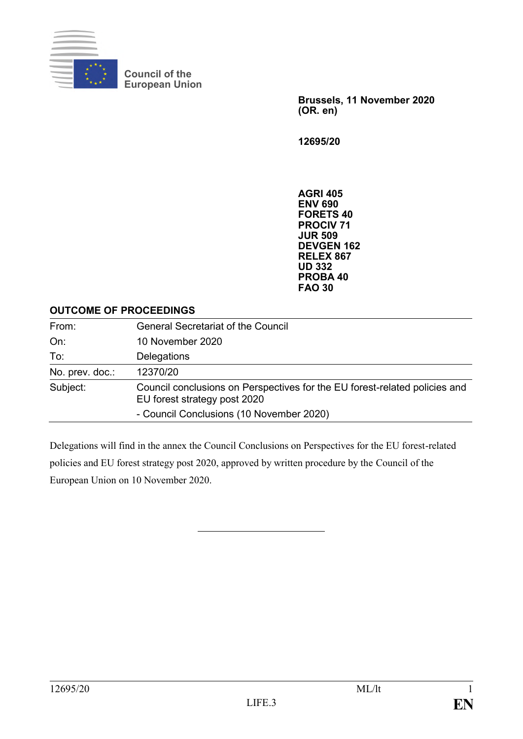

**Council of the European Union**

> **Brussels, 11 November 2020 (OR. en)**

**12695/20**

**AGRI 405 ENV 690 FORETS 40 PROCIV 71 JUR 509 DEVGEN 162 RELEX 867 UD 332 PROBA 40 FAO 30**

#### **OUTCOME OF PROCEEDINGS**

| From:           | <b>General Secretariat of the Council</b>                                                                  |
|-----------------|------------------------------------------------------------------------------------------------------------|
| On:             | 10 November 2020                                                                                           |
| To:             | Delegations                                                                                                |
| No. prev. doc.: | 12370/20                                                                                                   |
| Subject:        | Council conclusions on Perspectives for the EU forest-related policies and<br>EU forest strategy post 2020 |
|                 | - Council Conclusions (10 November 2020)                                                                   |

Delegations will find in the annex the Council Conclusions on Perspectives for the EU forest-related policies and EU forest strategy post 2020, approved by written procedure by the Council of the European Union on 10 November 2020.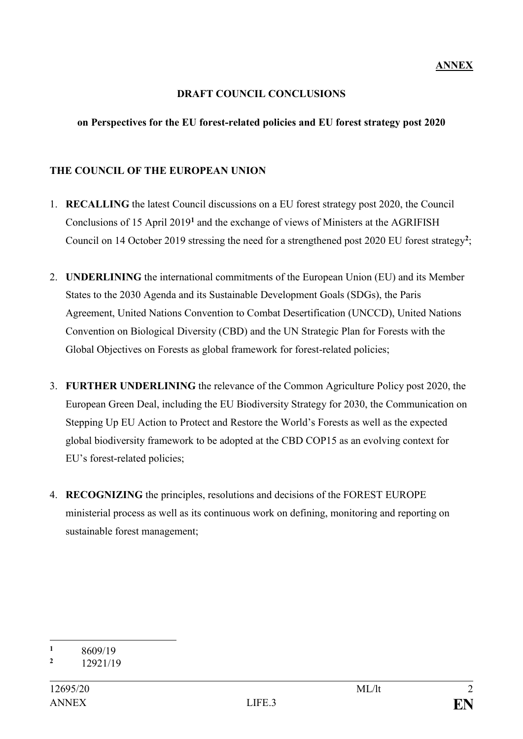### **DRAFT COUNCIL CONCLUSIONS**

### **on Perspectives for the EU forest-related policies and EU forest strategy post 2020**

# **THE COUNCIL OF THE EUROPEAN UNION**

- 1. **RECALLING** the latest Council discussions on a EU forest strategy post 2020, the Council Conclusions of 15 April 2019**<sup>1</sup>** and the exchange of views of Ministers at the AGRIFISH Council on 14 October 2019 stressing the need for a strengthened post 2020 EU forest strategy**<sup>2</sup>** ;
- 2. **UNDERLINING** the international commitments of the European Union (EU) and its Member States to the 2030 Agenda and its Sustainable Development Goals (SDGs), the Paris Agreement, United Nations Convention to Combat Desertification (UNCCD), United Nations Convention on Biological Diversity (CBD) and the UN Strategic Plan for Forests with the Global Objectives on Forests as global framework for forest-related policies;
- 3. **FURTHER UNDERLINING** the relevance of the Common Agriculture Policy post 2020, the European Green Deal, including the EU Biodiversity Strategy for 2030, the Communication on Stepping Up EU Action to Protect and Restore the World's Forests as well as the expected global biodiversity framework to be adopted at the CBD COP15 as an evolving context for EU's forest-related policies;
- 4. **RECOGNIZING** the principles, resolutions and decisions of the FOREST EUROPE ministerial process as well as its continuous work on defining, monitoring and reporting on sustainable forest management;

<sup>1</sup>  $\frac{1}{2}$  8609/19

**<sup>2</sup>** 12921/19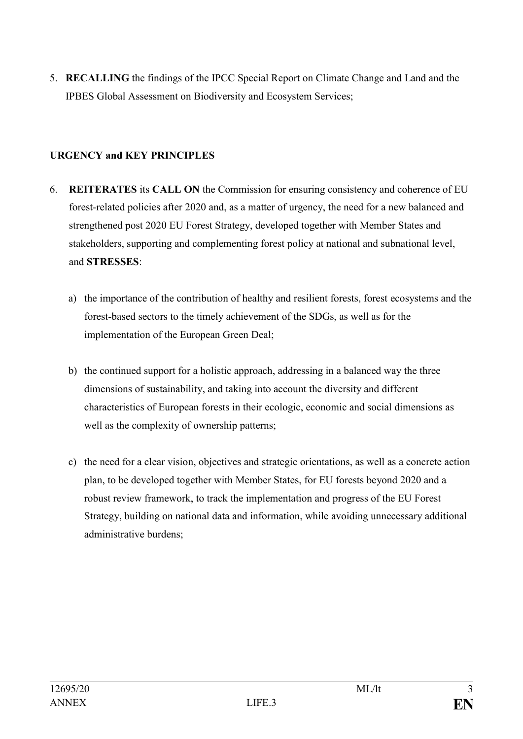5. **RECALLING** the findings of the IPCC Special Report on Climate Change and Land and the IPBES Global Assessment on Biodiversity and Ecosystem Services;

# **URGENCY and KEY PRINCIPLES**

- 6. **REITERATES** its **CALL ON** the Commission for ensuring consistency and coherence of EU forest-related policies after 2020 and, as a matter of urgency, the need for a new balanced and strengthened post 2020 EU Forest Strategy, developed together with Member States and stakeholders, supporting and complementing forest policy at national and subnational level, and **STRESSES**:
	- a) the importance of the contribution of healthy and resilient forests, forest ecosystems and the forest-based sectors to the timely achievement of the SDGs, as well as for the implementation of the European Green Deal;
	- b) the continued support for a holistic approach, addressing in a balanced way the three dimensions of sustainability, and taking into account the diversity and different characteristics of European forests in their ecologic, economic and social dimensions as well as the complexity of ownership patterns;
	- c) the need for a clear vision, objectives and strategic orientations, as well as a concrete action plan, to be developed together with Member States, for EU forests beyond 2020 and a robust review framework, to track the implementation and progress of the EU Forest Strategy, building on national data and information, while avoiding unnecessary additional administrative burdens;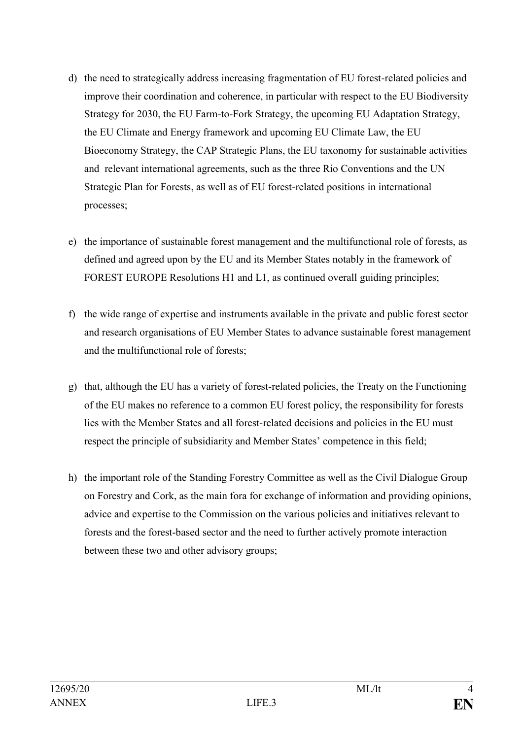- d) the need to strategically address increasing fragmentation of EU forest-related policies and improve their coordination and coherence, in particular with respect to the EU Biodiversity Strategy for 2030, the EU Farm-to-Fork Strategy, the upcoming EU Adaptation Strategy, the EU Climate and Energy framework and upcoming EU Climate Law, the EU Bioeconomy Strategy, the CAP Strategic Plans, the EU taxonomy for sustainable activities and relevant international agreements, such as the three Rio Conventions and the UN Strategic Plan for Forests, as well as of EU forest-related positions in international processes;
- e) the importance of sustainable forest management and the multifunctional role of forests, as defined and agreed upon by the EU and its Member States notably in the framework of FOREST EUROPE Resolutions H1 and L1, as continued overall guiding principles;
- f) the wide range of expertise and instruments available in the private and public forest sector and research organisations of EU Member States to advance sustainable forest management and the multifunctional role of forests;
- g) that, although the EU has a variety of forest-related policies, the Treaty on the Functioning of the EU makes no reference to a common EU forest policy, the responsibility for forests lies with the Member States and all forest-related decisions and policies in the EU must respect the principle of subsidiarity and Member States' competence in this field;
- h) the important role of the Standing Forestry Committee as well as the Civil Dialogue Group on Forestry and Cork, as the main fora for exchange of information and providing opinions, advice and expertise to the Commission on the various policies and initiatives relevant to forests and the forest-based sector and the need to further actively promote interaction between these two and other advisory groups;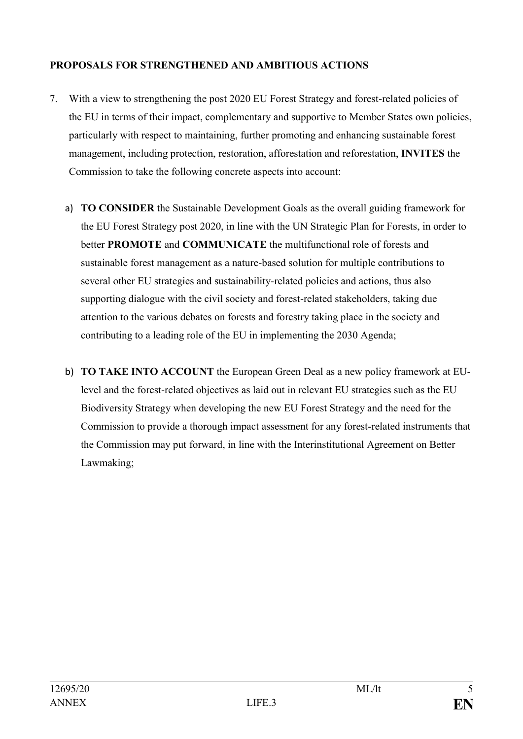# **PROPOSALS FOR STRENGTHENED AND AMBITIOUS ACTIONS**

- 7. With a view to strengthening the post 2020 EU Forest Strategy and forest-related policies of the EU in terms of their impact, complementary and supportive to Member States own policies, particularly with respect to maintaining, further promoting and enhancing sustainable forest management, including protection, restoration, afforestation and reforestation, **INVITES** the Commission to take the following concrete aspects into account:
	- a) **TO CONSIDER** the Sustainable Development Goals as the overall guiding framework for the EU Forest Strategy post 2020, in line with the UN Strategic Plan for Forests, in order to better **PROMOTE** and **COMMUNICATE** the multifunctional role of forests and sustainable forest management as a nature-based solution for multiple contributions to several other EU strategies and sustainability-related policies and actions, thus also supporting dialogue with the civil society and forest-related stakeholders, taking due attention to the various debates on forests and forestry taking place in the society and contributing to a leading role of the EU in implementing the 2030 Agenda;
	- b) **TO TAKE INTO ACCOUNT** the European Green Deal as a new policy framework at EUlevel and the forest-related objectives as laid out in relevant EU strategies such as the EU Biodiversity Strategy when developing the new EU Forest Strategy and the need for the Commission to provide a thorough impact assessment for any forest-related instruments that the Commission may put forward, in line with the Interinstitutional Agreement on Better Lawmaking;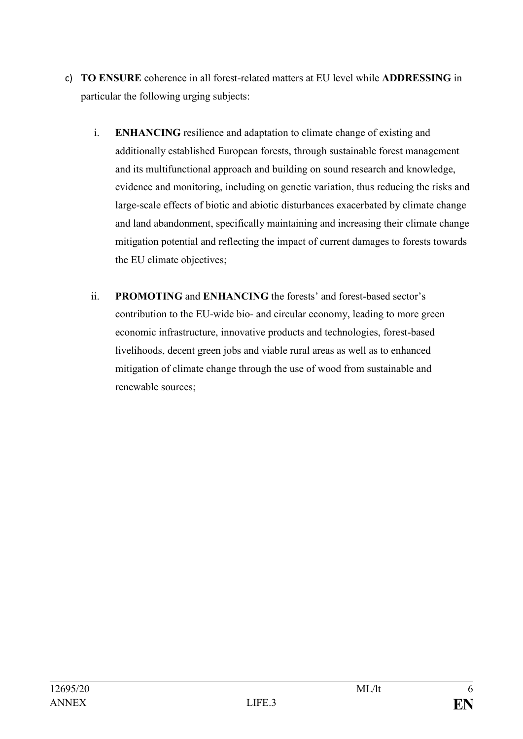- c) **TO ENSURE** coherence in all forest-related matters at EU level while **ADDRESSING** in particular the following urging subjects:
	- i. **ENHANCING** resilience and adaptation to climate change of existing and additionally established European forests, through sustainable forest management and its multifunctional approach and building on sound research and knowledge, evidence and monitoring, including on genetic variation, thus reducing the risks and large-scale effects of biotic and abiotic disturbances exacerbated by climate change and land abandonment, specifically maintaining and increasing their climate change mitigation potential and reflecting the impact of current damages to forests towards the EU climate objectives;
	- ii. **PROMOTING** and **ENHANCING** the forests' and forest-based sector's contribution to the EU-wide bio- and circular economy, leading to more green economic infrastructure, innovative products and technologies, forest-based livelihoods, decent green jobs and viable rural areas as well as to enhanced mitigation of climate change through the use of wood from sustainable and renewable sources;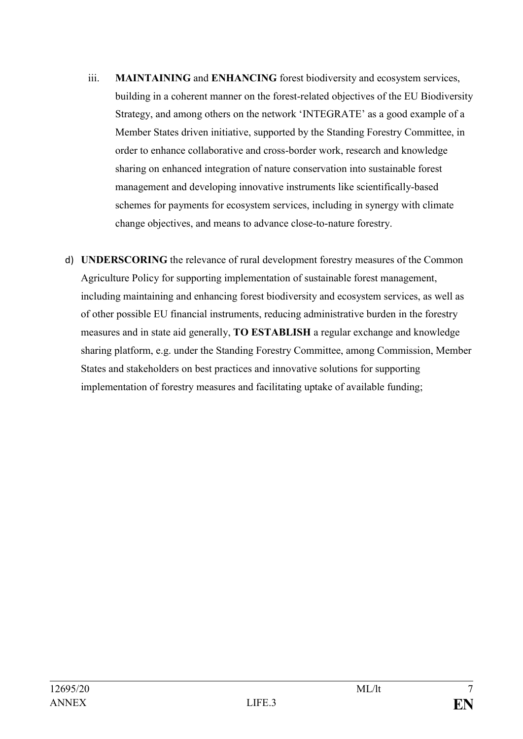- iii. **MAINTAINING** and **ENHANCING** forest biodiversity and ecosystem services, building in a coherent manner on the forest-related objectives of the EU Biodiversity Strategy, and among others on the network 'INTEGRATE' as a good example of a Member States driven initiative, supported by the Standing Forestry Committee, in order to enhance collaborative and cross-border work, research and knowledge sharing on enhanced integration of nature conservation into sustainable forest management and developing innovative instruments like scientifically-based schemes for payments for ecosystem services, including in synergy with climate change objectives, and means to advance close-to-nature forestry.
- d) **UNDERSCORING** the relevance of rural development forestry measures of the Common Agriculture Policy for supporting implementation of sustainable forest management, including maintaining and enhancing forest biodiversity and ecosystem services, as well as of other possible EU financial instruments, reducing administrative burden in the forestry measures and in state aid generally, **TO ESTABLISH** a regular exchange and knowledge sharing platform, e.g. under the Standing Forestry Committee, among Commission, Member States and stakeholders on best practices and innovative solutions for supporting implementation of forestry measures and facilitating uptake of available funding;